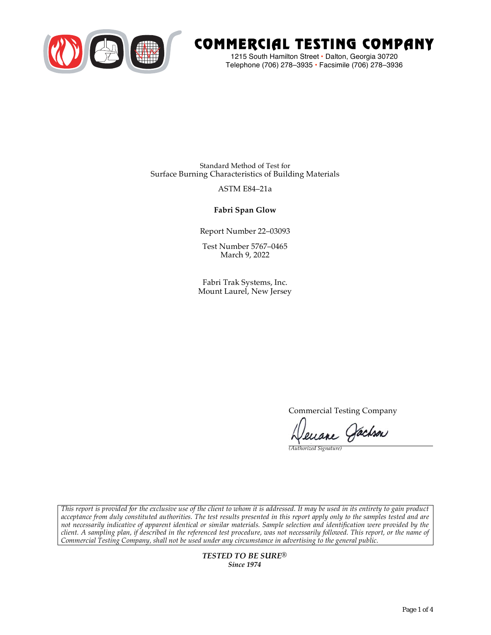

# COMMERCIAL TESTING COMPANY

1215 South Hamilton Street • Dalton, Georgia 30720 Telephone (706) 278–3935 **•** Facsimile (706) 278–3936

Standard Method of Test for Surface Burning Characteristics of Building Materials

### ASTM E84–21a

**Fabri Span Glow**

Report Number 22–03093

Test Number 5767–0465 March 9, 2022

Fabri Trak Systems, Inc. Mount Laurel, New Jersey

Commercial Testing Company

Jenane Jachson

*(Authorized Signature)* 

*This report is provided for the exclusive use of the client to whom it is addressed. It may be used in its entirety to gain product acceptance from duly constituted authorities. The test results presented in this report apply only to the samples tested and are not necessarily indicative of apparent identical or similar materials. Sample selection and identification were provided by the client. A sampling plan, if described in the referenced test procedure, was not necessarily followed. This report, or the name of Commercial Testing Company, shall not be used under any circumstance in advertising to the general public.* 

> *TESTED TO BE SURE® Since 1974*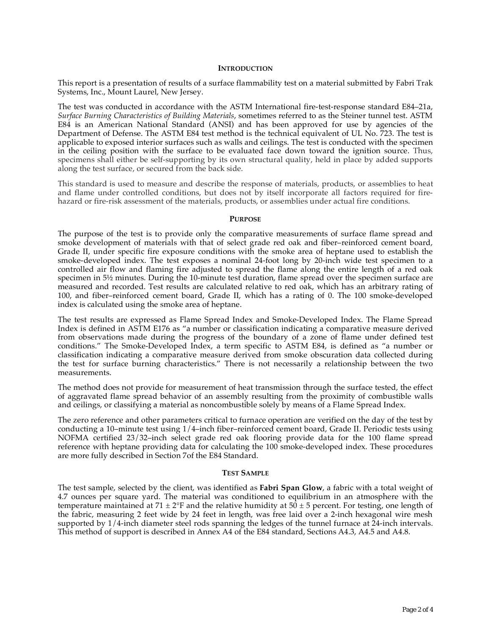#### **INTRODUCTION**

This report is a presentation of results of a surface flammability test on a material submitted by Fabri Trak Systems, Inc., Mount Laurel, New Jersey.

The test was conducted in accordance with the ASTM International fire-test-response standard E84–21a, *Surface Burning Characteristics of Building Materials*, sometimes referred to as the Steiner tunnel test. ASTM E84 is an American National Standard (ANSI) and has been approved for use by agencies of the Department of Defense. The ASTM E84 test method is the technical equivalent of UL No. 723. The test is applicable to exposed interior surfaces such as walls and ceilings. The test is conducted with the specimen in the ceiling position with the surface to be evaluated face down toward the ignition source. Thus, specimens shall either be self-supporting by its own structural quality, held in place by added supports along the test surface, or secured from the back side.

This standard is used to measure and describe the response of materials, products, or assemblies to heat and flame under controlled conditions, but does not by itself incorporate all factors required for firehazard or fire-risk assessment of the materials, products, or assemblies under actual fire conditions.

#### **PURPOSE**

The purpose of the test is to provide only the comparative measurements of surface flame spread and smoke development of materials with that of select grade red oak and fiber–reinforced cement board, Grade II, under specific fire exposure conditions with the smoke area of heptane used to establish the smoke-developed index. The test exposes a nominal 24-foot long by 20-inch wide test specimen to a controlled air flow and flaming fire adjusted to spread the flame along the entire length of a red oak specimen in  $5\frac{1}{2}$  minutes. During the 10-minute test duration, flame spread over the specimen surface are measured and recorded. Test results are calculated relative to red oak, which has an arbitrary rating of 100, and fiber–reinforced cement board, Grade II, which has a rating of 0. The 100 smoke-developed index is calculated using the smoke area of heptane.

The test results are expressed as Flame Spread Index and Smoke-Developed Index. The Flame Spread Index is defined in ASTM E176 as "a number or classification indicating a comparative measure derived from observations made during the progress of the boundary of a zone of flame under defined test conditions." The Smoke-Developed Index, a term specific to ASTM E84, is defined as "a number or classification indicating a comparative measure derived from smoke obscuration data collected during the test for surface burning characteristics." There is not necessarily a relationship between the two measurements.

The method does not provide for measurement of heat transmission through the surface tested, the effect of aggravated flame spread behavior of an assembly resulting from the proximity of combustible walls and ceilings, or classifying a material as noncombustible solely by means of a Flame Spread Index.

The zero reference and other parameters critical to furnace operation are verified on the day of the test by conducting a 10–minute test using 1/4–inch fiber–reinforced cement board, Grade II. Periodic tests using NOFMA certified 23/32–inch select grade red oak flooring provide data for the 100 flame spread reference with heptane providing data for calculating the 100 smoke-developed index. These procedures are more fully described in Section 7of the E84 Standard.

#### **TEST SAMPLE**

The test sample, selected by the client, was identified as **Fabri Span Glow**, a fabric with a total weight of 4.7 ounces per square yard. The material was conditioned to equilibrium in an atmosphere with the temperature maintained at 71  $\pm$  2°F and the relative humidity at 50  $\pm$  5 percent. For testing, one length of the fabric, measuring 2 feet wide by 24 feet in length, was free laid over a 2-inch hexagonal wire mesh supported by 1/4-inch diameter steel rods spanning the ledges of the tunnel furnace at 24-inch intervals. This method of support is described in Annex A4 of the E84 standard, Sections A4.3, A4.5 and A4.8.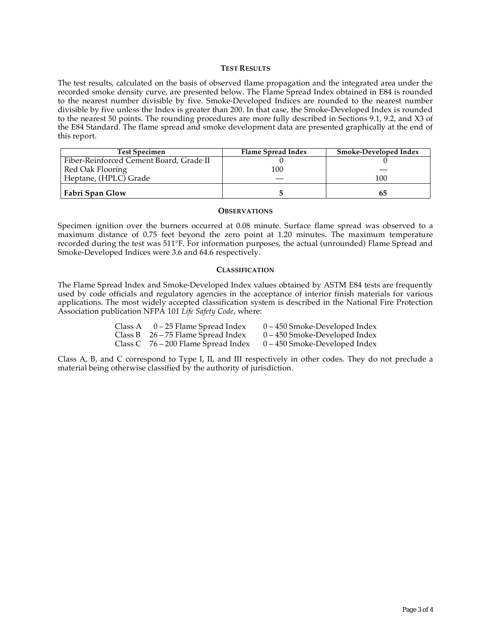#### **TEST RESULTS**

The test results, calculated on the basis of observed flame propagation and the integrated area under the recorded smoke density curve, are presented below. The Flame Spread Index obtained in E84 is rounded to the nearest number divisible by five. Smoke-Developed Indices are rounded to the nearest number divisible by five unless the Index is greater than 200. In that case, the Smoke-Developed Index is rounded to the nearest 50 points. The rounding procedures are more fully described in Sections 9.1, 9.2, and X3 of the E84 Standard. The flame spread and smoke development data are presented graphically at the end of this report.

| <b>Test Specimen</b>                    | Flame Spread Index | Smoke-Developed Index |
|-----------------------------------------|--------------------|-----------------------|
| Fiber-Reinforced Cement Board, Grade II |                    |                       |
| Red Oak Flooring                        | 100                |                       |
| Heptane, (HPLC) Grade                   |                    | 100                   |
| Fabri Span Glow                         |                    | რე                    |

#### **OBSERVATIONS**

Specimen ignition over the burners occurred at 0.08 minute. Surface flame spread was observed to a maximum distance of 0.75 feet beyond the zero point at 1.20 minutes. The maximum temperature recorded during the test was 511°F. For information purposes, the actual (unrounded) Flame Spread and Smoke-Developed Indices were 3.6 and 64.6 respectively.

#### **CLASSIFICATION**

The Flame Spread Index and Smoke-Developed Index values obtained by ASTM E84 tests are frequently used by code officials and regulatory agencies in the acceptance of interior finish materials for various applications. The most widely accepted classification system is described in the National Fire Protection Association publication NFPA 101 *Life Safety Code*, where:

| Class A $0-25$ Flame Spread Index     | $0 - 450$ Smoke-Developed Index |
|---------------------------------------|---------------------------------|
| Class B $26 - 75$ Flame Spread Index  | $0 - 450$ Smoke-Developed Index |
| Class C $76 - 200$ Flame Spread Index | $0 - 450$ Smoke-Developed Index |

Class A, B, and C correspond to Type I, II, and III respectively in other codes. They do not preclude a material being otherwise classified by the authority of jurisdiction.